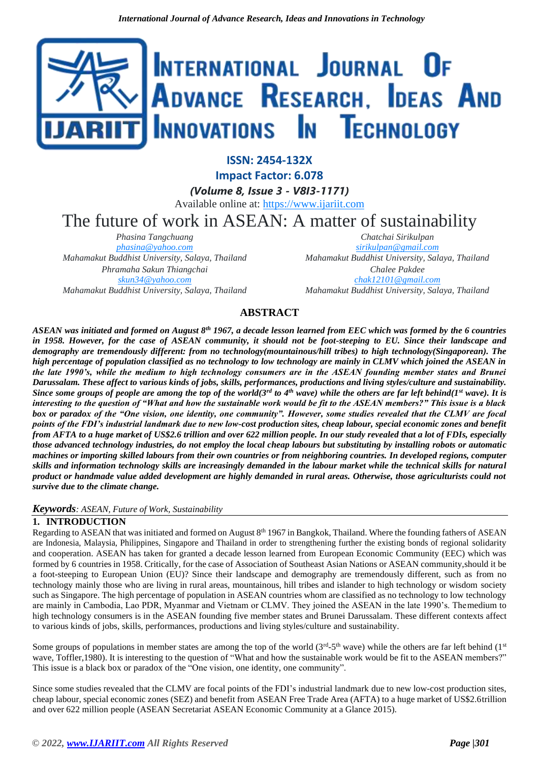

**ISSN: 2454-132X**

**Impact Factor: 6.078**

*(Volume 8, Issue 3 - V8I3-1171)* Available online at: [https://www.ijariit.com](https://www.ijariit.com/?utm_source=pdf&utm_medium=edition&utm_campaign=OmAkSols&utm_term=V8I3-1171)

The future of work in ASEAN: A matter of sustainability

*Phasina Tangchuang [phasina@yahoo.com](mailto:phasina@yahoo.com) Mahamakut Buddhist University, Salaya, Thailand Phramaha Sakun Thiangchai [skun34@yahoo.com](mailto:skun34@yahoo.com) Mahamakut Buddhist University, Salaya, Thailand*

*Chatchai Sirikulpan [sirikulpan@gmail.com](mailto:sirikulpan@gmail.com) Mahamakut Buddhist University, Salaya, Thailand Chalee Pakdee*

*[chak12101@gmail.com](mailto:chak12101@gmail.com) Mahamakut Buddhist University, Salaya, Thailand*

# **ABSTRACT**

*ASEAN was initiated and formed on August 8th 1967, a decade lesson learned from EEC which was formed by the [6 c](https://en.wikipedia.org/wiki/Inner_Six)ountries in 1958. However, for the case of ASEAN community, it should not be foot-steeping to EU. Since their landscape and demography are tremendously different: from no technology(mountainous/hill tribes) to high technology(Singaporean). The high percentage of population classified as no technology to low technology are mainly in CLMV which joined the ASEAN in the late 1990's, while the medium to high technology consumers are in the ASEAN founding member states and Brunei* Darussalam. These affect to various kinds of jobs, skills, performances, productions and living styles/culture and sustainability. *Since some groups of people are among the top of the world(3rd to 4th wave) while the others are far left behind(1st wave). It is interesting to the question of "What and how the sustainable work would be fit to the ASEAN members?" This issue is a black box or paradox of the "One vision, one identity, one community". However, some studies revealed that the CLMV are focal points of the FDI's industrial landmark due to new low-cost production sites, cheap labour, special economic zones and benefit* from AFTA to a huge market of US\$2.6 trillion and over 622 million people. In our study revealed that a lot of FDIs, especially *those advanced technology industries, do not employ the local cheap labours but substituting by installing robots or automatic* machines or importing skilled labours from their own countries or from neighboring countries. In developed regions, computer *skills and information technology skills are increasingly demanded in the labour market while the technical skills for natural product or handmade value added development are highly demanded in rural areas. Otherwise, those agriculturists could not survive due to the climate change.*

# *Keywords: ASEAN, Future of Work, Sustainability*

# **1. INTRODUCTION**

Regarding to ASEAN that was initiated and formed on August  $8<sup>th</sup> 1967$  in Bangkok, Thailand. Where the founding fathers of ASEAN are Indonesia, Malaysia, Philippines, Singapore and Thailand in order to strengthening further the existing bonds of regional solidarity and cooperation. ASEAN has taken for granted a decade lesson learned from [European Economic Community \(](https://en.wikipedia.org/wiki/European_Economic_Community)EEC) which was formed by [6 c](https://en.wikipedia.org/wiki/Inner_Six)ountries in 1958. Critically, for the case of Association of Southeast Asian Nations or ASEAN community,should it be a foot-steeping to European Union (EU)? Since their landscape and demography are tremendously different, such as from no technology mainly those who are living in rural areas, mountainous, hill tribes and islander to high technology or wisdom society such as Singapore. The high percentage of population in ASEAN countries whom are classified as no technology to low technology are mainly in Cambodia, Lao PDR, Myanmar and Vietnam or CLMV. They joined the ASEAN in the late 1990's. Themedium to high technology consumers is in the ASEAN founding five member states and Brunei Darussalam. These different contexts affect to various kinds of jobs, skills, performances, productions and living styles/culture and sustainability.

Some groups of populations in member states are among the top of the world  $(3<sup>rd</sup>-5<sup>th</sup>$  wave) while the others are far left behind  $(1<sup>st</sup>$ wave, Toffler,1980). It is interesting to the question of "What and how the sustainable work would be fit to the ASEAN members?" This issue is a black box or paradox of the "One vision, one identity, one community".

Since some studies revealed that the CLMV are focal points of the FDI's industrial landmark due to new low-cost production sites, cheap labour, special economic zones (SEZ) and benefit from ASEAN Free Trade Area (AFTA) to a huge market of US\$2.6trillion and over 622 million people (ASEAN Secretariat ASEAN Economic Community at a Glance 2015).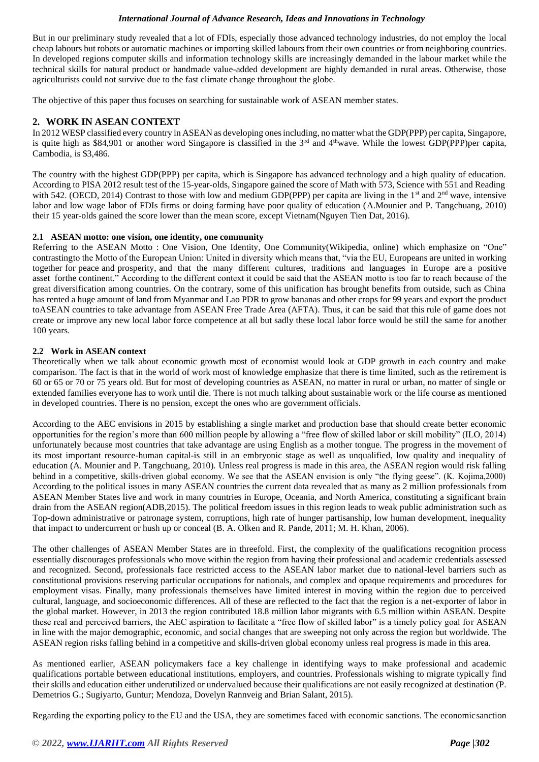But in our preliminary study revealed that a lot of FDIs, especially those advanced technology industries, do not employ the local cheap labours but robots or automatic machines or importing skilled labours from their own countries or from neighboring countries. In developed regions computer skills and information technology skills are increasingly demanded in the labour market while the technical skills for natural product or handmade value-added development are highly demanded in rural areas. Otherwise, those agriculturists could not survive due to the fast climate change throughout the globe.

The objective of this paper thus focuses on searching for sustainable work of ASEAN member states.

# **2. WORK IN ASEAN CONTEXT**

In 2012 WESP classified every country in ASEAN as developing onesincluding, no matter what the GDP(PPP) per capita, Singapore, is quite high as \$84,901 or another word Singapore is classified in the  $3<sup>rd</sup>$  and  $4<sup>th</sup>$ wave. While the lowest GDP(PPP)per capita, Cambodia, is \$3,486.

The country with the highest GDP(PPP) per capita, which is Singapore has advanced technology and a high quality of education. According to PISA 2012 result test of the 15-year-olds, Singapore gained the score of Math with 573, Science with 551 and Reading with 542. (OECD, 2014) Contrast to those with low and medium GDP(PPP) per capita are living in the 1<sup>st</sup> and  $2<sup>nd</sup>$  wave, intensive labor and low wage labor of FDIs firms or doing farming have poor quality of education (A.Mounier and P. Tangchuang, 2010) their 15 year-olds gained the score lower than the mean score, except Vietnam(Nguyen Tien Dat, 2016).

# **2.1 ASEAN motto: one vision, one identity, one community**

Referring to the ASEAN Motto : One Vision, One Identity, One Community(Wikipedia, online) which emphasize on "One" contrastingto the Motto of the European Union: United in diversity which means that, "via the EU, [Europeans a](https://en.wikipedia.org/wiki/Ethnic_groups_in_Europe)re united in working together for peace and prosperity, and that the many different cultures, traditions and languages in Europe are a positive asset forthe [continent."](https://en.wikipedia.org/wiki/Europe) According to the different context it could be said that the ASEAN motto is too far to reach because of the great diversification among countries. On the contrary, some of this unification has brought benefits from outside, such as China has rented a huge amount of land from Myanmar and Lao PDR to grow bananas and other crops for 99 years and export the product toASEAN countries to take advantage from ASEAN Free Trade Area (AFTA). Thus, it can be said that this rule of game does not create or improve any new local labor force competence at all but sadly these local labor force would be still the same for another 100 years.

# **2.2 Work in ASEAN context**

Theoretically when we talk about economic growth most of economist would look at GDP growth in each country and make comparison. The fact is that in the world of work most of knowledge emphasize that there is time limited, such as the retirement is 60 or 65 or 70 or 75 years old. But for most of developing countries as ASEAN, no matter in rural or urban, no matter of single or extended families everyone has to work until die. There is not much talking about sustainable work or the life course as mentioned in developed countries. There is no pension, except the ones who are government officials.

According to the AEC envisions in 2015 by establishing a single market and production base that should create better economic opportunities for the region's more than 600 million people by allowing a "free flow of skilled labor or skill mobility" (ILO, 2014) unfortunately because most countries that take advantage are using English as a mother tongue. The progress in the movement of its most important resource-human capital-is still in an embryonic stage as well as unqualified, low quality and inequality of education (A. Mounier and P. Tangchuang, 2010). Unless real progress is made in this area, the ASEAN region would risk falling behind in a competitive, skills-driven global economy. We see that the ASEAN envision is only "the flying geese". (K. Kojima,2000) According to the political issues in many ASEAN countries the current data revealed that as many as 2 million professionals from ASEAN Member States live and work in many countries in Europe, Oceania, and North America, constituting a significant brain drain from the ASEAN region(ADB,2015). The political freedom issues in this region leads to weak public administration such as Top-down administrative or patronage system, corruptions, high rate of hunger partisanship, low human development, inequality that impact to undercurrent or hush up or conceal (B. A. Olken and R. Pande, 2011; M. H. Khan, 2006).

The other challenges of ASEAN Member States are in threefold. First, the complexity of the qualifications recognition process essentially discourages professionals who move within the region from having their professional and academic credentials assessed and recognized. Second, professionals face restricted access to the ASEAN labor market due to national-level barriers such as constitutional provisions reserving particular occupations for nationals, and complex and opaque requirements and procedures for employment visas. Finally, many professionals themselves have limited interest in moving within the region due to perceived cultural, language, and socioeconomic differences. All of these are reflected to the fact that the region is a net-exporter of labor in the global market. However, in 2013 the region contributed 18.8 million labor migrants with 6.5 million within ASEAN. Despite these real and perceived barriers, the AEC aspiration to facilitate a "free flow of skilled labor" is a timely policy goal for ASEAN in line with the major demographic, economic, and social changes that are sweeping not only across the region but worldwide. The ASEAN region risks falling behind in a competitive and skills-driven global economy unless real progress is made in this area.

As mentioned earlier, ASEAN policymakers face a key challenge in identifying ways to make professional and academic qualifications portable between educational institutions, employers, and countries. Professionals wishing to migrate typically find their skills and education either underutilized or undervalued because their qualifications are not easily recognized at destination (P. Demetrios G.; Sugiyarto, Guntur; Mendoza, Dovelyn Rannveig and Brian Salant, 2015).

Regarding the exporting policy to the EU and the USA, they are sometimes faced with economic sanctions. The economicsanction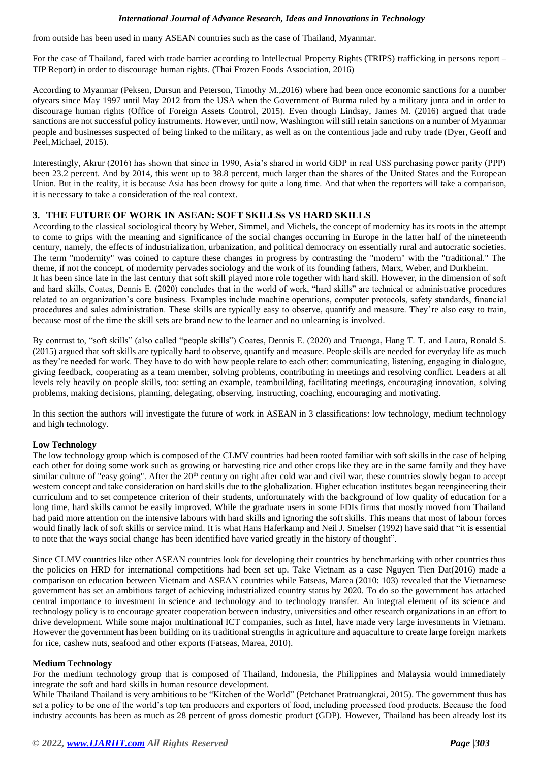from outside has been used in many ASEAN countries such as the case of Thailand, Myanmar.

For the case of Thailand, faced with trade barrier according to Intellectual Property Rights (TRIPS) trafficking in persons report – TIP Report) in order to discourage human rights. (Thai Frozen Foods Association, 2016)

According to Myanmar (Peksen, Dursun and Peterson, Timothy M.,2016) where had been once economic sanctions for a number ofyears since May 1997 until May 2012 from the USA when the Government of Burma ruled by a military junta and in order to discourage human rights (Office of Foreign Assets Control, 2015). Even though Lindsay, James M. (2016) argued that trade sanctions are not successful policy instruments. However, until now, Washington will still retain sanctions on a number of Myanmar people and businesses suspected of being linked to the military, as well as on the contentious jade and ruby trade (Dyer, Geoff and Peel,Michael, 2015).

Interestingly, Akrur (2016) has shown that since in 1990, Asia's shared in world GDP in real US\$ purchasing power parity (PPP) been 23.2 percent. And by 2014, this went up to 38.8 percent, much larger than the shares of the United States and the European Union. But in the reality, it is because Asia has been drowsy for quite a long time. And that when the reporters will take a comparison, it is necessary to take a consideration of the real context.

#### **3. THE FUTURE OF WORK IN ASEAN: SOFT SKILLSs VS HARD SKILLS**

According to the classical sociological theory by Weber, Simmel, and Michels, the concept of modernity has its roots in the attempt to come to grips with the meaning and significance of the social changes occurring in Europe in the latter half of the nineteenth century, namely, the effects of industrialization, urbanization, and political democracy on essentially rural and autocratic societies. The term "modernity" was coined to capture these changes in progress by contrasting the "modern" with the "traditional." The theme, if not the concept, of modernity pervades sociology and the work of its founding fathers, Marx, Weber, and Durkheim. It has been since late in the last century that soft skill played more role together with hard skill. However, in the dimension of soft and hard skills, Coates, Dennis E. (2020) concludes that in the world of work, "hard skills" are technical or administrative procedures related to an organization's core business. Examples include machine operations, computer protocols, safety standards, financial procedures and sales administration. These skills are typically easy to observe, quantify and measure. They're also easy to train, because most of the time the skill sets are brand new to the learner and no unlearning is involved.

By contrast to, "soft skills" (also called "people skills") Coates, Dennis E. (2020) and Truonga, Hang T. T. and Laura, Ronald S. (2015) argued that soft skills are typically hard to observe, quantify and measure. People skills are needed for everyday life as much as they're needed for work. They have to do with how people relate to each other: communicating, listening, engaging in dialogue, giving feedback, cooperating as a team member, solving problems, contributing in meetings and resolving conflict. Leaders at all levels rely heavily on people skills, too: setting an example, teambuilding, facilitating meetings, encouraging innovation, solving problems, making decisions, planning, delegating, observing, instructing, coaching, encouraging and motivating.

In this section the authors will investigate the future of work in ASEAN in 3 classifications: low technology, medium technology and high technology.

#### **Low Technology**

The low technology group which is composed of the CLMV countries had been rooted familiar with soft skills in the case of helping each other for doing some work such as growing or harvesting rice and other crops like they are in the same family and they have similar culture of "easy going". After the 20<sup>th</sup> century on right after cold war and civil war, these countries slowly began to accept western concept and take consideration on hard skills due to the globalization. Higher education institutes began reengineering their curriculum and to set competence criterion of their students, unfortunately with the background of low quality of education for a long time, hard skills cannot be easily improved. While the graduate users in some FDIs firms that mostly moved from Thailand had paid more attention on the intensive labours with hard skills and ignoring the soft skills. This means that most of labour forces would finally lack of soft skills or service mind. It is what Hans Haferkamp and Neil J. Smelser (1992) have said that "it is essential to note that the ways social change has been identified have varied greatly in the history of thought".

Since CLMV countries like other ASEAN countries look for developing their countries by benchmarking with other countries thus the policies on HRD for international competitions had been set up. Take Vietnam as a case Nguyen Tien Dat(2016) made a comparison on education between Vietnam and ASEAN countries while Fatseas, Marea (2010: 103) revealed that the Vietnamese government has set an ambitious target of achieving industrialized country status by 2020. To do so the government has attached central importance to investment in science and technology and to technology transfer. An integral element of its science and technology policy is to encourage greater cooperation between industry, universities and other research organizations in an effort to drive development. While some major multinational ICT companies, such as Intel, have made very large investments in Vietnam. However the government has been building on its traditional strengths in agriculture and aquaculture to create large foreign markets for rice, cashew nuts, seafood and other exports (Fatseas, Marea, 2010).

#### **Medium Technology**

For the medium technology group that is composed of Thailand, Indonesia, the Philippines and Malaysia would immediately integrate the soft and hard skills in human resource development.

While Thailand Thailand is very ambitious to be "Kitchen of the World" (Petchanet Pratruangkrai, 2015). The government thus has set a policy to be one of the world's top ten producers and exporters of food, including processed food products. Because the food industry accounts has been as much as 28 percent of gross domestic product (GDP). However, Thailand has been already lost its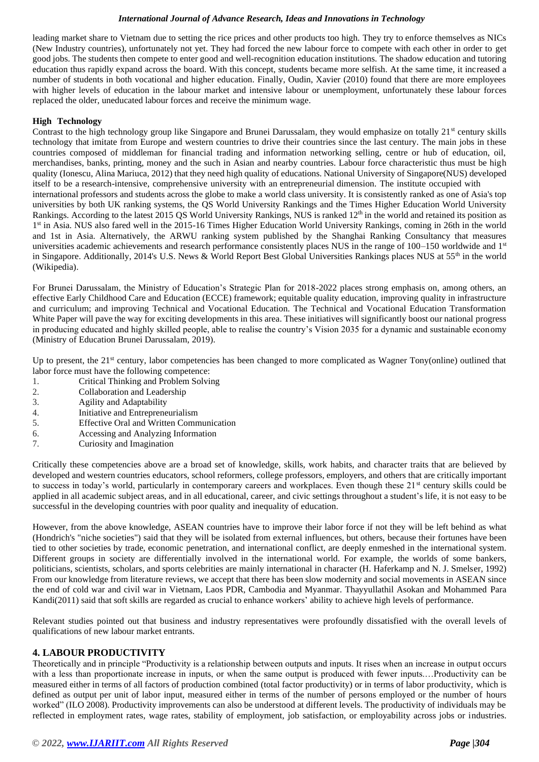leading market share to Vietnam due to setting the rice prices and other products too high. They try to enforce themselves as NICs (New Industry countries), unfortunately not yet. They had forced the new labour force to compete with each other in order to get good jobs. The students then compete to enter good and well-recognition education institutions. The shadow education and tutoring education thus rapidly expand across the board. With this concept, students became more selfish. At the same time, it increased a number of students in both vocational and higher education. Finally, Oudin, Xavier (2010) found that there are more employees with higher levels of education in the labour market and intensive labour or unemployment, unfortunately these labour forces replaced the older, uneducated labour forces and receive the minimum wage.

## **High Technology**

Contrast to the high technology group like Singapore and Brunei Darussalam, they would emphasize on totally  $21<sup>st</sup>$  century skills technology that imitate from Europe and western countries to drive their countries since the last century. The main jobs in these countries composed of middleman for financial trading and information networking selling, centre or hub of education, oil, merchandises, banks, printing, money and the such in Asian and nearby countries. Labour force characteristic thus must be high quality (Ionescu, Alina Mariuca, 2012) that they need high quality of educations. National University of Singapore(NUS) developed itself to be a [research-](https://en.wikipedia.org/wiki/Research)intensive, comprehensive university with an [entrepreneurial](https://en.wikipedia.org/wiki/Entrepreneurial) dimension. The institute occupied with international professors and students across the globe to make a world class university. It is consistently ranked as one of Asia's top universities by both UK ranking systems, the [QS World University Rankings a](https://en.wikipedia.org/wiki/QS_World_University_Rankings)nd the [Times Higher Education World University](https://en.wikipedia.org/wiki/Times_Higher_Education_World_University_Rankings) [Rankings.](https://en.wikipedia.org/wiki/Times_Higher_Education_World_University_Rankings) According to the latest 2015 QS World [University](https://en.wikipedia.org/wiki/QS_World_University_Rankings) Rankings, NUS is ranked 12<sup>th</sup> in the world and retained its position as 1<sup>st</sup> in Asia. NUS also fared well in the 2015-16 [Times Higher Education World University Rankings, c](https://en.wikipedia.org/wiki/Times_Higher_Education_World_University_Rankings)oming in 26th in the world and 1st in Asia. Alternatively, the [ARWU r](https://en.wikipedia.org/wiki/ARWU)anking system published by the Shanghai Ranking Consultancy that measures universities academic achievements and research performance consistently places NUS in the range of  $100-150$  worldwide and  $1<sup>st</sup>$ in Singapore. Additionally, 2014's [U.S. News & World Report B](https://en.wikipedia.org/wiki/U.S._News_%26_World_Report)est Global Universities Rankings places NUS at  $55<sup>th</sup>$  in the world (Wikipedia).

For Brunei Darussalam, the Ministry of Education's Strategic Plan for 2018-2022 places strong emphasis on, among others, an effective Early Childhood Care and Education (ECCE) framework; equitable quality education, improving quality in infrastructure and curriculum; and improving Technical and Vocational Education. The Technical and Vocational Education Transformation White Paper will pave the way for exciting developments in this area. These initiatives will significantly boost our national progress in producing educated and highly skilled people, able to realise the country's Vision 2035 for a dynamic and sustainable economy (Ministry of Education Brunei Darussalam, 2019).

Up to present, the 21<sup>st</sup> century, labor competencies has been changed to more complicated as Wagner Tony(online) outlined that labor force must have the following competence:

- 1. Critical Thinking and Problem Solving
- 2. Collaboration and Leadership<br>3. Agility and Adaptability
- Agility and Adaptability
- 4. Initiative and Entrepreneurialism
- 5. Effective Oral and Written Communication
- 6. Accessing and Analyzing Information
- 7. Curiosity and Imagination

Critically these competencies above are a broad set of knowledge, skills, work habits, and character traits that are believed by developed and western countries educators, school reformers, college professors, employers, and others that are critically important to success in today's world, particularly in contemporary careers and workplaces. Even though these 21<sup>st</sup> century skills could be applied in all academic subject areas, and in all educational, career, and civic settings throughout a student's life, it is not easy to be successful in the developing countries with poor quality and inequality of education.

However, from the above knowledge, ASEAN countries have to improve their labor force if not they will be left behind as what (Hondrich's "niche societies") said that they will be isolated from external influences, but others, because their fortunes have been tied to other societies by trade, economic penetration, and international conflict, are deeply enmeshed in the international system. Different groups in society are differentially involved in the international world. For example, the worlds of some bankers, politicians, scientists, scholars, and sports celebrities are mainly international in character (H. Haferkamp and N. J. Smelser, 1992) From our knowledge from literature reviews, we accept that there has been slow modernity and social movements in ASEAN since the end of cold war and civil war in Vietnam, Laos PDR, Cambodia and Myanmar. Thayyullathil Asokan and Mohammed Para Kandi(2011) said that soft skills are regarded as crucial to enhance workers' ability to achieve high levels of performance.

Relevant studies pointed out that business and industry representatives were profoundly dissatisfied with the overall levels of qualifications of new labour market entrants.

# **4. LABOUR PRODUCTIVITY**

Theoretically and in principle "Productivity is a relationship between outputs and inputs. It rises when an increase in output occurs with a less than proportionate increase in inputs, or when the same output is produced with fewer inputs.…Productivity can be measured either in terms of all factors of production combined (total factor productivity) or in terms of labor productivity, which is defined as output per unit of labor input, measured either in terms of the number of persons employed or the number of hours worked" (ILO 2008). Productivity improvements can also be understood at different levels. The productivity of individuals may be reflected in employment rates, wage rates, stability of employment, job satisfaction, or employability across jobs or industries.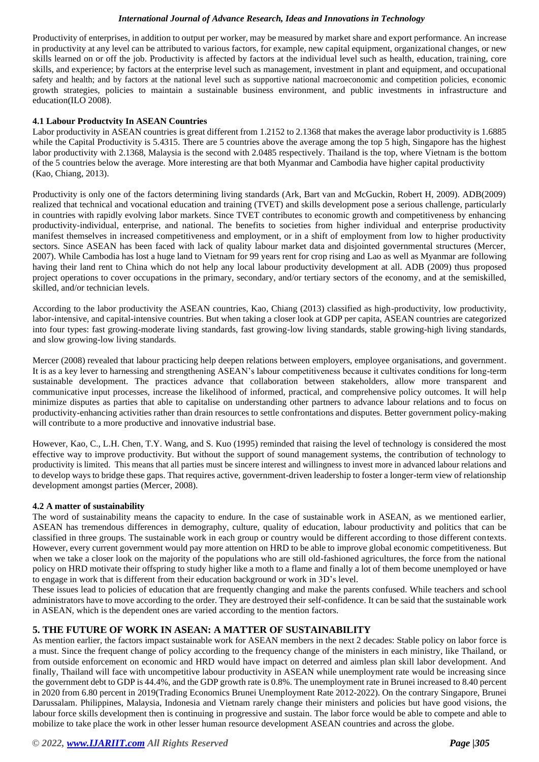Productivity of enterprises, in addition to output per worker, may be measured by market share and export performance. An increase in productivity at any level can be attributed to various factors, for example, new capital equipment, organizational changes, or new skills learned on or off the job. Productivity is affected by factors at the individual level such as health, education, training, core skills, and experience; by factors at the enterprise level such as management, investment in plant and equipment, and occupational safety and health; and by factors at the national level such as supportive national macroeconomic and competition policies, economic growth strategies, policies to maintain a sustainable business environment, and public investments in infrastructure and education(ILO 2008).

## **4.1 Labour Productvity In ASEAN Countries**

Labor productivity in ASEAN countries is great different from 1.2152 to 2.1368 that makes the average labor productivity is 1.6885 while the Capital Productivity is 5.4315. There are 5 countries above the average among the top 5 high, Singapore has the highest labor productivity with 2.1368, Malaysia is the second with 2.0485 respectively. Thailand is the top, where Vietnam is the bottom of the 5 countries below the average. More interesting are that both Myanmar and Cambodia have higher capital productivity (Kao, Chiang, 2013).

Productivity is only one of the factors determining living standards (Ark, Bart van and McGuckin, Robert H, 2009). ADB(2009) realized that technical and vocational education and training (TVET) and skills development pose a serious challenge, particularly in countries with rapidly evolving labor markets. Since TVET contributes to economic growth and competitiveness by enhancing productivity-individual, enterprise, and national. The benefits to societies from higher individual and enterprise productivity manifest themselves in increased competitiveness and employment, or in a shift of employment from low to higher productivity sectors. Since ASEAN has been faced with lack of quality labour market data and disjointed governmental structures (Mercer, 2007). While Cambodia has lost a huge land to Vietnam for 99 years rent for crop rising and Lao as well as Myanmar are following having their land rent to China which do not help any local labour productivity development at all. ADB (2009) thus proposed project operations to cover occupations in the primary, secondary, and/or tertiary sectors of the economy, and at the semiskilled, skilled, and/or technician levels.

According to the labor productivity the ASEAN countries, Kao, Chiang (2013) classified as high-productivity, low productivity, labor-intensive, and capital-intensive countries. But when taking a closer look at GDP per capita, ASEAN countries are categorized into four types: fast growing-moderate living standards, fast growing-low living standards, stable growing-high living standards, and slow growing-low living standards.

Mercer (2008) revealed that labour practicing help deepen relations between employers, employee organisations, and government. It is as a key lever to harnessing and strengthening ASEAN's labour competitiveness because it cultivates conditions for long-term sustainable development. The practices advance that collaboration between stakeholders, allow more transparent and communicative input processes, increase the likelihood of informed, practical, and comprehensive policy outcomes. It will help minimize disputes as parties that able to capitalise on understanding other partners to advance labour relations and to focus on productivity-enhancing activities rather than drain resources to settle confrontations and disputes. Better government policy-making will contribute to a more productive and innovative industrial base.

However, Kao, C., L.H. Chen, T.Y. Wang, and S. Kuo (1995) reminded that raising the level of technology is considered the most effective way to improve productivity. But without the support of sound management systems, the contribution of technology to productivity is limited. This means that all parties must be sincere interest and willingness to invest more in advanced labour relations and to develop ways to bridge these gaps. That requires active, government-driven leadership to foster a longer-term view of relationship development amongst parties (Mercer, 2008).

#### **4.2 A matter of sustainability**

The word of sustainability means the capacity to endure. In the case of sustainable work in ASEAN, as we mentioned earlier, ASEAN has tremendous differences in demography, culture, quality of education, labour productivity and politics that can be classified in three groups. The sustainable work in each group or country would be different according to those different contexts. However, every current government would pay more attention on HRD to be able to improve global economic competitiveness. But when we take a closer look on the majority of the populations who are still old-fashioned agricultures, the force from the national policy on HRD motivate their offspring to study higher like a moth to a flame and finally a lot of them become unemployed or have to engage in work that is different from their education background or work in 3D's level.

These issues lead to policies of education that are frequently changing and make the parents confused. While teachers and school administrators have to move according to the order. They are destroyed their self-confidence. It can be said that the sustainable work in ASEAN, which is the dependent ones are varied according to the mention factors.

# **5. THE FUTURE OF WORK IN ASEAN: A MATTER OF SUSTAINABILITY**

As mention earlier, the factors impact sustainable work for ASEAN members in the next 2 decades: Stable policy on labor force is a must. Since the frequent change of policy according to the frequency change of the ministers in each ministry, like Thailand, or from outside enforcement on economic and HRD would have impact on deterred and aimless plan skill labor development. And finally, Thailand will face with uncompetitive labour productivity in ASEAN while unemployment rate would be increasing since the government debt to GDP is 44.4%, and the GDP growth rate is 0.8%. The unemployment rate in Brunei increased to 8.40 percent in 2020 from 6.80 percent in 2019(Trading Economics Brunei Unemployment Rate 2012-2022). On the contrary Singapore, Brunei Darussalam. Philippines, Malaysia, Indonesia and Vietnam rarely change their ministers and policies but have good visions, the labour force skills development then is continuing in progressive and sustain. The labor force would be able to compete and able to mobilize to take place the work in other lesser human resource development ASEAN countries and across the globe.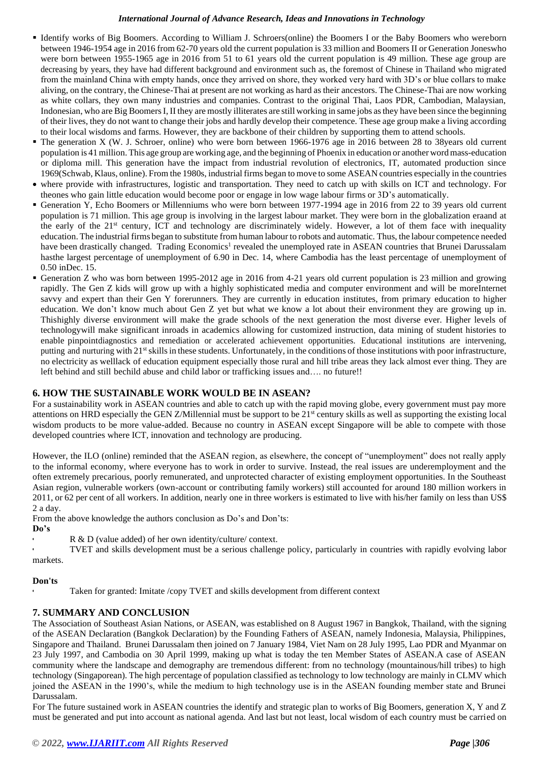- Identify works of Big Boomers. According to William J. Schroers(online) the Boomers I or the Baby Boomers who wereborn between 1946-1954 age in 2016 from 62-70 years old the current population is 33 million and Boomers II or Generation Joneswho were born between 1955-1965 age in 2016 from 51 to 61 years old the current population is 49 million. These age group are decreasing by years, they have had different background and environment such as, the foremost of Chinese in Thailand who migrated from the mainland China with empty hands, once they arrived on shore, they worked very hard with 3D's or blue collars to make aliving, on the contrary, the Chinese-Thai at present are not working as hard as their ancestors. The Chinese-Thai are now working as white collars, they own many industries and companies. Contrast to the original Thai, Laos PDR, Cambodian, Malaysian, Indonesian, who are Big BoomersI, II they are mostly illiterates are still working in same jobs asthey have been since the beginning of their lives, they do not want to change their jobs and hardly develop their competence. These age group make a living according to their local wisdoms and farms. However, they are backbone of their children by supporting them to attend schools.
- The generation X (W. J. Schroer, online) who were born between 1966-1976 age in 2016 between 28 to 38years old current population is 41million. This age group are working age, and the beginning of Phoenix in education or another wordmass-education or diploma mill. This generation have the impact from industrial revolution of electronics, IT, automated production since 1969[\(Schwab,](https://www.weforum.org/agenda/authors/klaus-schwab) Klaus, online). From the 1980s, industrial firms began to move to some ASEAN countries especially in the countries
- where provide with infrastructures, logistic and transportation. They need to catch up with skills on ICT and technology. For theones who gain little education would become poor or engage in low wage labour firms or 3D's automatically.
- Generation Y, Echo Boomers or Millenniums who were born between 1977-1994 age in 2016 from 22 to 39 years old current population is 71 million. This age group is involving in the largest labour market. They were born in the globalization eraand at the early of the 21<sup>st</sup> century, ICT and technology are discriminately widely. However, a lot of them face with inequality education. The industrial firms began to substitute from human labour to robots and automatic. Thus, the labour competence needed have been drastically changed. Trading Economics<sup>1</sup> revealed the unemployed rate in ASEAN countries that Brunei Darussalam hasthe largest percentage of unemployment of 6.90 in Dec. 14, where Cambodia has the least percentage of unemployment of 0.50 inDec. 15.
- Generation Z who was born between 1995-2012 age in 2016 from 4-21 years old current population is 23 million and growing rapidly. The Gen Z kids will grow up with a highly sophisticated media and computer environment and will be moreInternet savvy and expert than their Gen Y forerunners. They are currently in education institutes, from primary education to higher education. We don't know much about Gen Z yet but what we know a lot about their environment they are growing up in. Thishighly diverse environment will make the grade schools of the next generation the most diverse ever. Higher levels of technologywill make significant inroads in academics allowing for customized instruction, data mining of student histories to enable pinpointdiagnostics and remediation or accelerated achievement opportunities. Educational institutions are intervening, putting and nurturing with 21st skills in these students. Unfortunately, in the conditions of those institutions with poor infrastructure, no electricity as welllack of education equipment especially those rural and hill tribe areas they lack almost ever thing. They are left behind and still bechild abuse and child labor or trafficking issues and…. no future!!

# **6. HOW THE SUSTAINABLE WORK WOULD BE IN ASEAN?**

For a sustainability work in ASEAN countries and able to catch up with the rapid moving globe, every government must pay more attentions on HRD especially the GEN Z/Millennial must be support to be  $21<sup>st</sup>$  century skills as well as supporting the existing local wisdom products to be more value-added. Because no country in ASEAN except Singapore will be able to compete with those developed countries where ICT, innovation and technology are producing.

However, the ILO (online) reminded that the ASEAN region, as elsewhere, the concept of "unemployment" does not really apply to the informal economy, where everyone has to work in order to survive. Instead, the real issues are underemployment and the often extremely precarious, poorly remunerated, and unprotected character of existing employment opportunities. In the Southeast Asian region, vulnerable workers (own-account or contributing family workers) still accounted for around 180 million workers in 2011, or 62 per cent of all workers. In addition, nearly one in three workers is estimated to live with his/her family on less than US\$ 2 a day.

From the above knowledge the authors conclusion as Do's and Don'ts:

- **Do's**
- R & D (value added) of her own identity/culture/ context.

• TVET and skills development must be a serious challenge policy, particularly in countries with rapidly evolving labor markets.

# **Don'ts**

Taken for granted: Imitate /copy TVET and skills development from different context

# **7. SUMMARY AND CONCLUSION**

The Association of Southeast Asian Nations, or ASEAN, was established on 8 August 1967 in Bangkok, Thailand, with the signing of the ASEAN Declaration (Bangkok Declaration) by the Founding Fathers of ASEAN, namely Indonesia, Malaysia, Philippines, Singapore and Thailand. Brunei Darussalam then joined on 7 January 1984, Viet Nam on 28 July 1995, Lao PDR and Myanmar on 23 July 1997, and Cambodia on 30 April 1999, making up what is today the ten Member States of ASEAN.A case of ASEAN community where the landscape and demography are tremendous different: from no technology (mountainous/hill tribes) to high technology (Singaporean). The high percentage of population classified as technology to low technology are mainly in CLMV which joined the ASEAN in the 1990's, while the medium to high technology use is in the ASEAN founding member state and Brunei Darussalam.

For The future sustained work in ASEAN countries the identify and strategic plan to works of Big Boomers, generation X, Y and Z must be generated and put into account as national agenda. And last but not least, local wisdom of each country must be carried on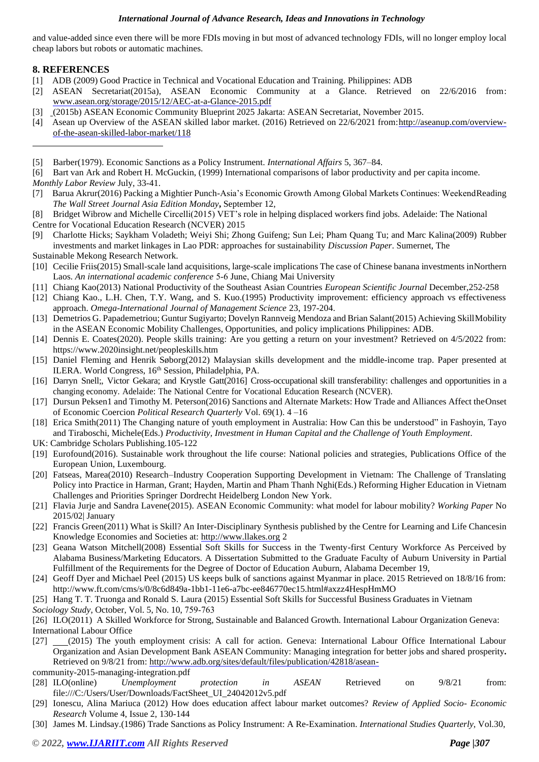and value-added since even there will be more FDIs moving in but most of advanced technology FDIs, will no longer employ local cheap labors but robots or automatic machines.

# **8. REFERENCES**

- [1] ADB (2009) Good Practice in Technical and Vocational Education and Training. Philippines: ADB
- [2] ASEAN Secretariat(2015a), ASEAN Economic Community at a Glance. Retrieved on 22/6/2016 from: [www.asean.org/storage/2015/12/AEC-at-a-Glance-2015.pdf](http://www.asean.org/storage/2015/12/AEC-at-a-Glance-2015.pdf)
- [3] (2015b) ASEAN Economic Community Blueprint 2025 Jakarta: ASEAN Secretariat, November 2015.
- [4] Asean up Overview of the ASEAN skilled labor market. (2016) Retrieved on 22/6/2021 from[:http://aseanup.com/overview](http://aseanup.com/overview-of-the-asean-skilled-labor-market/118)[of-the-asean-skilled-labor-market/118](http://aseanup.com/overview-of-the-asean-skilled-labor-market/118)

- [7] Barua Akrur(2016) Packing a Mightier Punch-Asia's Economic Growth Among Global Markets Continues: WeekendReading *The Wall Street Journal Asia Edition Monday***,** September 12,
- [8] Bridget Wibrow and Michelle Circelli(2015) VET's role in helping displaced workers find jobs. Adelaide: The National Centre for Vocational Education Research (NCVER) 2015
- [9] Charlotte Hicks; Saykham Voladeth; Weiyi Shi; Zhong Guifeng; Sun Lei; Pham Quang Tu; and Marc Kalina(2009) Rubber investments and market linkages in Lao PDR: approaches for sustainability *Discussion Paper*. Sumernet, The Sustainable Mekong Research Network.
- [10] Cecilie Friis(2015) Small-scale land acquisitions, large-scale implications The case of Chinese banana investments inNorthern Laos. *An international academic conference* 5‐6 June, Chiang Mai University
- [11] Chiang Kao(2013) National Productivity of the Southeast Asian Countries *European Scientific Journal* December,252-258
- [12] Chiang Kao., L.H. Chen, T.Y. Wang, and S. Kuo.(1995) Productivity improvement: efficiency approach vs effectiveness approach. *Omega-International Journal of Management Science* 23, 197-204.
- [13] Demetrios G. Papademetriou; Guntur Sugiyarto; Dovelyn Rannveig Mendoza and Brian Salant(2015) Achieving SkillMobility in the ASEAN Economic Mobility Challenges, Opportunities, and policy implications Philippines: ADB.
- [14] Dennis E. Coates(2020). People skills training: Are you getting a return on your investment? Retrieved on 4/5/2022 from: http[s://www.2](http://www.2020insight.net/peopleskills.htm)0[20insight.net/peopleskills.htm](http://www.2020insight.net/peopleskills.htm)
- [15] Daniel Fleming and Henrik Søborg(2012) Malaysian skills development and the middle-income trap. Paper presented at ILERA. World Congress, 16<sup>th</sup> Session, Philadelphia, PA.
- [16] Darryn Snell;, Victor Gekara; and Krystle Gatt(2016] Cross-occupational skill transferability: challenges and opportunities in a changing economy. Adelaide: The National Centre for Vocational Education Research (NCVER).
- [17] Dursun Peksen1 and Timothy M. Peterson(2016) Sanctions and Alternate Markets: How Trade and Alliances Affect theOnset of Economic Coercion *Political Research Quarterly* Vol. 69(1). 4 –16
- [18] Erica Smith(2011) The Changing nature of youth employment in Australia: How Can this be understood" in Fashoyin, Tayo and Tiraboschi, Michele(Eds.) *Productivity, Investment in Human Capital and the Challenge of Youth Employment*.
- UK: Cambridge Scholars Publishing.105-122
- [19] Eurofound(2016). Sustainable work throughout the life course: National policies and strategies, Publications Office of the European Union, Luxembourg.
- [20] Fatseas, Marea(2010) Research–Industry Cooperation Supporting Development in Vietnam: The Challenge of Translating Policy into Practice in Harman, Grant; Hayden, Martin and Pham Thanh Nghi(Eds.) Reforming Higher Education in Vietnam Challenges and Priorities Springer Dordrecht Heidelberg London New York.
- [21] Flavia Jurje and Sandra Lavene(2015). ASEAN Economic Community: what model for labour mobility? *Working Paper* No 2015/02| January
- [22] Francis Green(2011) What is Skill? An Inter-Disciplinary Synthesis published by the Centre for Learning and Life Chancesin Knowledge Economies and Societies at: [http://www.llakes.org](http://www.llakes.org/) 2
- [23] Geana Watson Mitchell(2008) Essential Soft Skills for Success in the Twenty-first Century Workforce As Perceived by Alabama Business/Marketing Educators. A Dissertation Submitted to the Graduate Faculty of Auburn University in Partial Fulfillment of the Requirements for the Degree of Doctor of Education Auburn, Alabama December 19,
- [24] Geoff Dyer and Michael Peel (2015) US keeps bulk of sanctions against Myanmar in place. 2015 Retrieved on 18/8/16 from: <http://www.ft.com/cms/s/0/8c6d849a-1bb1-11e6-a7bc-ee846770ec15.html#axzz4HespHmMO>

[25] Hang T. T. Truonga and Ronald S. Laura (2015) Essential Soft Skills for Successful Business Graduates in Vietnam

*Sociology Study*, October, Vol. 5, No. 10, 759‐763

[26] ILO(2011) A Skilled Workforce for Strong, Sustainable and Balanced Growth. International Labour Organization Geneva: International Labour Office

[27] (2015) The youth employment crisis: A call for action. Geneva: International Labour Office International Labour Organization and Asian Development Bank ASEAN Community: Managing integration for better jobs and shared prosperity**.** Retrieved on 9/8/21 from: <http://www.adb.org/sites/default/files/publication/42818/asean->

community-2015-managing-integration.pdf

- [28] ILO(online) *Unemployment protection in ASEAN* Retrieved on 9/8/21 from: file:///C:/Users/User/Downloads/FactSheet\_UI\_24042012v5.pdf
- [29] Ionescu, Alina Mariuca (2012) How does education affect labour market outcomes? *Review of Applied Socio- Economic Research* Volume 4, Issue 2, 130-144
- [30] James M. Lindsay.(1986) Trade Sanctions as Policy Instrument: A Re-Examination. *International Studies Quarterly*, Vol.30,

<sup>[5]</sup> Barber(1979). Economic Sanctions as a Policy Instrument. *International Affairs* 5, 367–84.

<sup>[6]</sup> Bart van Ark and Robert H. McGuckin, (1999) International comparisons of labor productivity and per capita income. *Monthly Labor Review* July, 33-41.